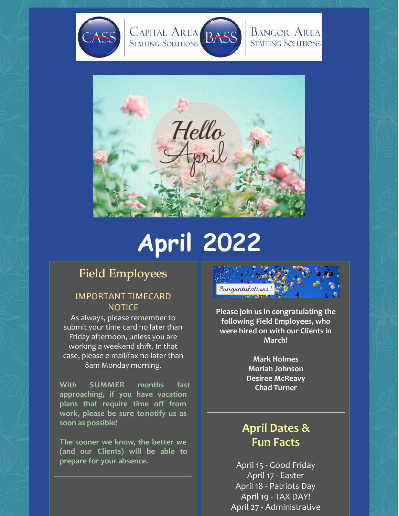



# **April 2022**

# Field Employees

## IMPORTANT TIMECARD **NOTICE**

As always, please remember to submit your time card no later than Friday afternoon, unless you are working a weekend shift. In that case, please e-mail/fax no later than 8am Monday morning.

**With SUMMER months fast approaching, if you have vacation plans that require time off from work, please be sure tonotify us as soon as possible!**

**The sooner we know, the better we (and our Clients) will be able to prepare for your absence.**



**Please join us in congratulating the following Field Employees, who were hired on with our Clients in March!**

> **Mark Holmes Moriah Johnson Desiree McReavy Chad Turner**

# **April Dates & Fun Facts**

April 15 - Good Friday April 17 - Easter April 18 - Patriots Day April 19 - TAX DAY! April 27 - Administrative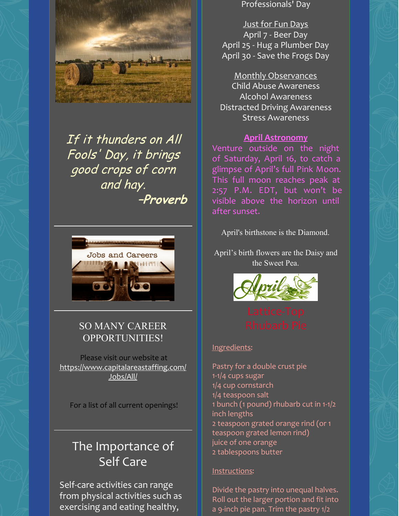

If it thunders on All Fools' Day, it brings good crops of corn and hay. **–Proverb**



## SO MANY CAREER OPPORTUNITIES!

Please visit our website at [https://www.capitalareastaffing.com/](https://www.capitalareastaffing.com/Jobs/All/) Jobs/All/

For a list of all current openings!

# The Importance of Self Care

Self-care activities can range from physical activities such as exercising and eating healthy,

Professionals' Day

Just for Fun Days April 7 - Beer Day April 25 - Hug a Plumber Day April 30 - Save the Frogs Day

Monthly Observances Child Abuse Awareness Alcohol Awareness Distracted Driving Awareness Stress Awareness

#### **April Astronomy**

Venture outside on the night of Saturday, April 16, to catch a glimpse of April's full Pink Moon. This full moon reaches peak at 2:57 P.M. EDT, but won't be visible above the horizon until after sunset.

April's birthstone is the Diamond.

April's birth flowers are the Daisy and the Sweet Pea.



#### Ingredients:

Pastry for a double crust pie 1-1/4 cups sugar 1/4 cup cornstarch 1/4 teaspoon salt 1 bunch (1 pound) rhubarb cut in 1-1/2 inch lengths 2 teaspoon grated orange rind (or 1 teaspoon grated lemon rind) juice of one orange 2 tablespoons butter

#### Instructions:

Divide the pastry into unequal halves. Roll out the larger portion and fit into a 9-inch pie pan. Trim the pastry 1/2